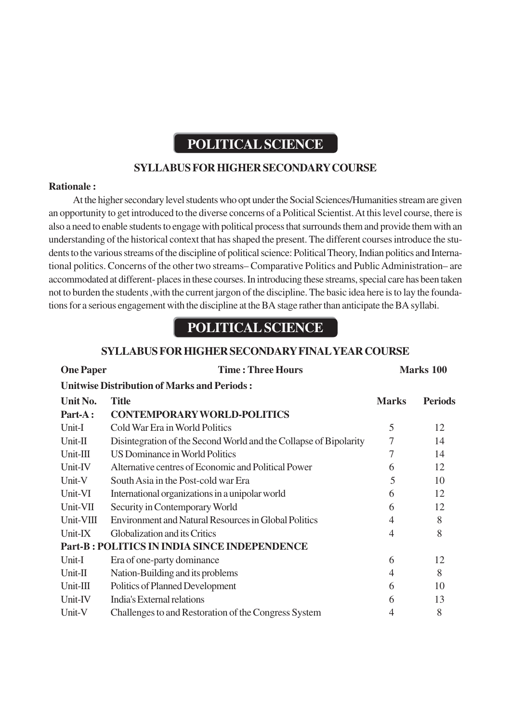# **POLITICAL SCIENCE**

# **SYLLABUS FOR HIGHER SECONDARY COURSE**

#### **Rationale :**

At the higher secondary level students who opt under the Social Sciences/Humanities stream are given an opportunity to get introduced to the diverse concerns of a Political Scientist. At this level course, there is also a need to enable students to engage with political process that surrounds them and provide them with an understanding of the historical context that has shaped the present. The different courses introduce the students to the various streams of the discipline of political science: Political Theory, Indian politics and International politics. Concerns of the other two streams– Comparative Politics and Public Administration– are accommodated at different- places in these courses. In introducing these streams, special care has been taken not to burden the students ,with the current jargon of the discipline. The basic idea here is to lay the foundations for a serious engagement with the discipline at the BA stage rather than anticipate the BA syllabi.

# **POLITICAL SCIENCE**

#### **SYLLABUS FOR HIGHER SECONDARY FINAL YEAR COURSE**

| <b>One Paper</b>                                   | <b>Time: Three Hours</b>                                          |                | Marks 100      |  |  |  |
|----------------------------------------------------|-------------------------------------------------------------------|----------------|----------------|--|--|--|
| <b>Unitwise Distribution of Marks and Periods:</b> |                                                                   |                |                |  |  |  |
| Unit No.                                           | <b>Title</b>                                                      | <b>Marks</b>   | <b>Periods</b> |  |  |  |
| Part-A:                                            | <b>CONTEMPORARY WORLD-POLITICS</b>                                |                |                |  |  |  |
| Unit-I                                             | Cold War Era in World Politics                                    | 5              | 12             |  |  |  |
| Unit-II                                            | Disintegration of the Second World and the Collapse of Bipolarity | 7              | 14             |  |  |  |
| $Unit-III$                                         | US Dominance in World Politics                                    | 7              | 14             |  |  |  |
| Unit-IV                                            | Alternative centres of Economic and Political Power               | 6              | 12             |  |  |  |
| Unit-V                                             | South Asia in the Post-cold war Era                               | 5              | 10             |  |  |  |
| Unit-VI                                            | International organizations in a unipolar world                   | 6              | 12             |  |  |  |
| Unit-VII                                           | Security in Contemporary World                                    | 6              | 12             |  |  |  |
| Unit-VIII                                          | <b>Environment and Natural Resources in Global Politics</b>       | $\overline{4}$ | 8              |  |  |  |
| Unit-IX                                            | Globalization and its Critics                                     | 4              | 8              |  |  |  |
|                                                    | <b>Part-B: POLITICS IN INDIA SINCE INDEPENDENCE</b>               |                |                |  |  |  |
| Unit-I                                             | Era of one-party dominance                                        | 6              | 12             |  |  |  |
| Unit-II                                            | Nation-Building and its problems                                  | 4              | 8              |  |  |  |
| $Unit-III$                                         | Politics of Planned Development                                   | 6              | 10             |  |  |  |
| Unit-IV                                            | India's External relations                                        | 6              | 13             |  |  |  |
| Unit-V                                             | Challenges to and Restoration of the Congress System              | 4              | 8              |  |  |  |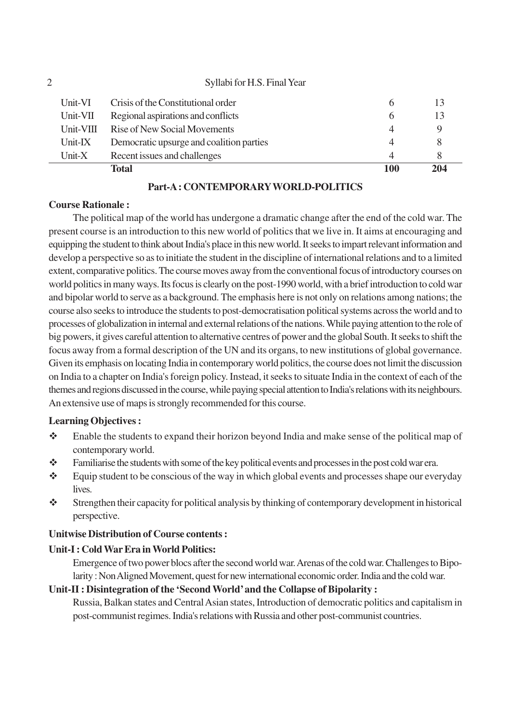|           | Total                                    | 100      | 204 |
|-----------|------------------------------------------|----------|-----|
| Unit- $X$ | Recent issues and challenges             | 4        |     |
| Unit-IX   | Democratic upsurge and coalition parties | 4        |     |
| Unit-VIII | Rise of New Social Movements             | 4        |     |
| Unit-VII  | Regional aspirations and conflicts       | $\sigma$ | 13  |
| Unit-VI   | Crisis of the Constitutional order       | 6        |     |
|           | Syllabi for H.S. Final Year              |          |     |

### **Part-A : CONTEMPORARY WORLD-POLITICS**

#### **Course Rationale :**

The political map of the world has undergone a dramatic change after the end of the cold war. The present course is an introduction to this new world of politics that we live in. It aims at encouraging and equipping the student to think about India's place in this new world. It seeks to impart relevant information and develop a perspective so as to initiate the student in the discipline of international relations and to a limited extent, comparative politics. The course moves away from the conventional focus of introductory courses on world politics in many ways. Its focus is clearly on the post-1990 world, with a brief introduction to cold war and bipolar world to serve as a background. The emphasis here is not only on relations among nations; the course also seeks to introduce the students to post-democratisation political systems across the world and to processes of globalization in internal and external relations of the nations. While paying attention to the role of big powers, it gives careful attention to alternative centres of power and the global South. It seeks to shift the focus away from a formal description of the UN and its organs, to new institutions of global governance. Given its emphasis on locating India in contemporary world politics, the course does not limit the discussion on India to a chapter on India's foreign policy. Instead, it seeks to situate India in the context of each of the themes and regions discussed in the course, while paying special attention to India's relations with its neighbours. An extensive use of maps is strongly recommended for this course.

# **Learning Objectives :**

- $\hat{\mathbf{\cdot}}$  Enable the students to expand their horizon beyond India and make sense of the political map of contemporary world.
- \* Familiarise the students with some of the key political events and processes in the post cold war era.
- $\triangle$  Equip student to be conscious of the way in which global events and processes shape our everyday lives.
- Strengthen their capacity for political analysis by thinking of contemporary development in historical perspective.

# **Unitwise Distribution of Course contents :**

# **Unit-I : Cold War Era in World Politics:**

Emergence of two power blocs after the second world war. Arenas of the cold war. Challenges to Bipolarity : Non Aligned Movement, quest for new international economic order. India and the cold war.

# **Unit-II : Disintegration of the 'Second World' and the Collapse of Bipolarity :**

Russia, Balkan states and Central Asian states, Introduction of democratic politics and capitalism in post-communist regimes. India's relations with Russia and other post-communist countries.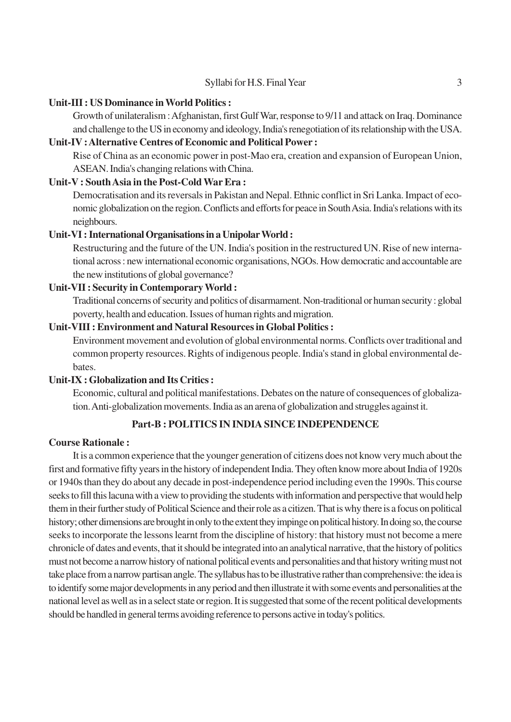#### **Unit-III : US Dominance in World Politics :**

Growth of unilateralism : Afghanistan, first Gulf War, response to 9/11 and attack on Iraq. Dominance and challenge to the US in economy and ideology, India's renegotiation of its relationship with the USA.

## **Unit-IV : Alternative Centres of Economic and Political Power :**

Rise of China as an economic power in post-Mao era, creation and expansion of European Union, ASEAN. India's changing relations with China.

### **Unit-V : South Asia in the Post-Cold War Era :**

Democratisation and its reversals in Pakistan and Nepal. Ethnic conflict in Sri Lanka. Impact of economic globalization on the region. Conflicts and efforts for peace in South Asia. India's relations with its neighbours.

# **Unit-VI : International Organisations in a Unipolar World :**

Restructuring and the future of the UN. India's position in the restructured UN. Rise of new international across : new international economic organisations, NGOs. How democratic and accountable are the new institutions of global governance?

# **Unit-VII : Security in Contemporary World :**

Traditional concerns of security and politics of disarmament. Non-traditional or human security : global poverty, health and education. Issues of human rights and migration.

### **Unit-VIII : Environment and Natural Resources in Global Politics :**

Environment movement and evolution of global environmental norms. Conflicts over traditional and common property resources. Rights of indigenous people. India's stand in global environmental debates.

#### **Unit-IX : Globalization and Its Critics :**

Economic, cultural and political manifestations. Debates on the nature of consequences of globalization. Anti-globalization movements. India as an arena of globalization and struggles against it.

# **Part-B : POLITICS IN INDIA SINCE INDEPENDENCE**

#### **Course Rationale :**

It is a common experience that the younger generation of citizens does not know very much about the first and formative fifty years in the history of independent India. They often know more about India of 1920s or 1940s than they do about any decade in post-independence period including even the 1990s. This course seeks to fill this lacuna with a view to providing the students with information and perspective that would help them in their further study of Political Science and their role as a citizen. That is why there is a focus on political history; other dimensions are brought in only to the extent they impinge on political history. In doing so, the course seeks to incorporate the lessons learnt from the discipline of history: that history must not become a mere chronicle of dates and events, that it should be integrated into an analytical narrative, that the history of politics must not become a narrow history of national political events and personalities and that history writing must not take place from a narrow partisan angle. The syllabus has to be illustrative rather than comprehensive: the idea is to identify some major developments in any period and then illustrate it with some events and personalities at the national level as well as in a select state or region. It is suggested that some of the recent political developments should be handled in general terms avoiding reference to persons active in today's politics.